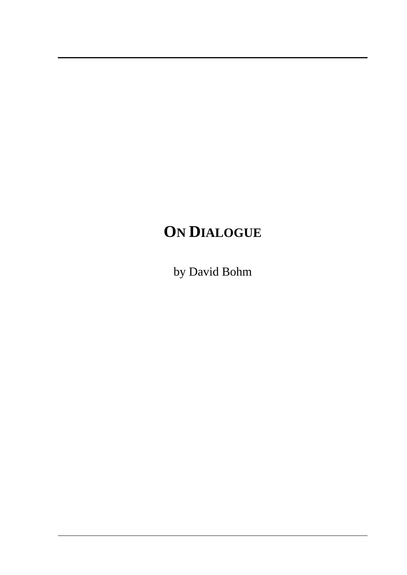# **ON DIALOGUE**

by David Bohm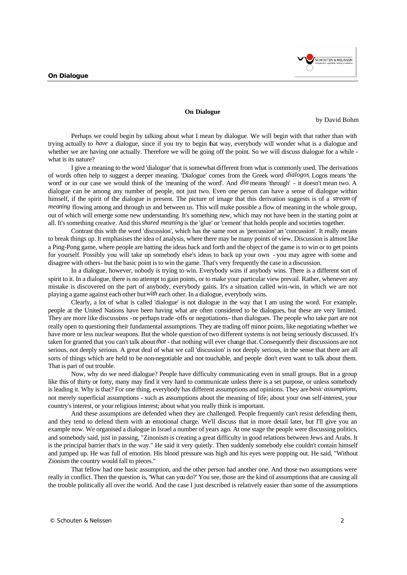

by David Bohm

Perhaps we could begin by talking about what I mean by dialogue. We will begin with that rather than with trying actually to *have* a dialogue, since if you try to begin that way, everybody will wonder what is a dialogue and whether we are having one actually. Therefore we will be going off the point. So we will discuss dialogue for a while what is its nature?

I give a meaning to the word 'dialogue' that is somewhat different from what is commonly used. The derivations of words often help to suggest a deeper meaning. 'Dialogue' comes from the Greek word *dialogos*. Logos means 'the word' or in our case we would think of the 'meaning of the word'. And *dia* means 'through' - it doesn't mean two. A dialogue can be among any number of people, not just two. Even one person can have a sense of dialogue within himself, if the spirit of the dialogue is present. The picture of image that this derivation suggests is of a *stream of meaning* flowing among and through us and between us. This will make possible a flow of meaning in the whole group, out of which will emerge some new understanding. It's something new, which may not have been in the starting point at all. It's something creative. And this *shared meaning* is the 'glue' or 'cement' that holds people and societies together.

Contrast this with the word 'discussion', which has the same root as 'percussion' an 'concussion'. It really means to break things up. It emphasises the idea of analysis, where there may be many points of view. Discussion is almost like a Ping-Pong game, where people are batting the ideas back and forth and the object of the game is to win or to get points for yourself. Possibly you will take up somebody else's ideas to back up your own - you may agree with some and disagree with others - but the basic point is to win the game. That's very frequently the case in a discussion.

In a dialogue, however, nobody is trying to win. Everybody wins if anybody wins. There is a different sort of spirit to it. In a dialogue, there is no attempt to gain points, or to make your particular view prevail. Rather, whenever any mistake is discovered on the part of anybody, everybody gains. It's a situation called win-win, in which we are not playing a game against each other but *with* each other. In a dialogue, everybody wins.

Clearly, a lot of what is called 'dialogue' is not dialogue in the way that I am using the word. For example, people at the United Nations have been having what are often considered to be dialogues, but these are very limited. They are more like discussions - or perhaps trade -offs or negotiations - than dialogues. The people who take part are not really open to questioning their fundamental assumptions. They are trading off minor points, like negotiating whether we have more or less nuclear weapons. But the whole question of two different systems is not being seriously discussed. It's taken for granted that you can't talk about *that* - that nothing will ever change that. Consequently their discussions are not serious, not deeply serious. A great deal of what we call 'discussion' is not deeply serious, in the sense that there are all sorts of things which are held to be non-negotiable and not touchable, and people don't even want to talk about them. That is part of out trouble.

Now, why do we need dialogue? People have difficulty communicating even in small groups. But in a group like this of thirty or forty, many may find it very hard to communicate unless there is a set purpose, or unless somebody is leading it. Why is that? For one thing, everybody has different assumptions and opinions. They are *basic assumptions,*  not merely superficial assumptions - such as assumptions about the meaning of life; about your own self-interest, your country's interest, or your religious interest; about what you really think is important.

And these assumptions are defended when they are challenged. People frequently can't resist defending them, and they tend to defend them with an emotional charge. We'll discuss that in more detail later, but I'll give you an example now. We organised a dialogue in Israel a number of years ago. At one stage the people were discussing politics, and somebody said, just in passing, "Zinonism is creating a great difficulty in good relations between Jews and Arabs. It is the principal barrier that's in the way." He said it very quietly. Then suddenly somebody else couldn't contain himself and jumped up. He was full of emotion. His blood pressure was high and his eyes were popping out. He said, "Without Zionism the country would fall to pieces."

That fellow had one basic assumption, and the other person had another one. And those two assumptions were really in conflict. Then the question is, 'What can you do?' You see, those are the kind of assumptions that are causing all the trouble politically all over the world. And the case I just described is relatively easier than some of the assumptions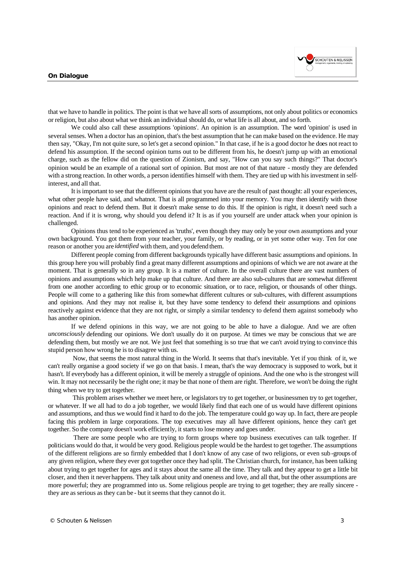

that we have to handle in politics. The point is that we have all sorts of assumptions, not only about politics or economics or religion, but also about what we think an individual should do, or what life is all about, and so forth.

We could also call these assumptions 'opinions'. An opinion is an assumption. The word 'opinion' is used in several senses. When a doctor has an opinion, that's the best assumption that he can make based on the evidence. He may then say, "Okay, I'm not quite sure, so let's get a second opinion." In that case, if he is a good doctor he does not react to defend his assumption. If the second opinion turns out to be different from his, he doesn't jump up with an emotional charge, such as the fellow did on the question of Zionism, and say, "How can you say such things?" That doctor's opinion would be an example of a rational sort of opinion. But most are not of that nature - mostly they are defended with a strong reaction. In other words, a person identifies himself with them. They are tied up with his investment in selfinterest, and all that.

It is important to see that the different opinions that you have are the result of past thought: all your experiences, what other people have said, and whatnot. That is all programmed into your memory. You may then identify with those opinions and react to defend them. But it doesn't make sense to do this. If the opinion is right, it doesn't need such a reaction. And if it is wrong, why should you defend it? It is as if you yourself are under attack when your opinion is challenged.

Opinions thus tend to be experienced as 'truths', even though they may only be your own assumptions and your own background. You got them from your teacher, your family, or by reading, or in yet some other way. Ten for one reason or another you are *identified* with them, and you defend them.

Different people coming from different backgrounds typically have different basic assumptions and opinions. In this group here you will probably find a great many different assumptions and opinions of which we are not aware at the moment. That is generally so in any group. It is a matter of culture. In the overall culture there are vast numbers of opinions and assumptions which help make up that culture. And there are also sub-cultures that are somewhat different from one another according to ethic group or to economic situation, or to race, religion, or thousands of other things. People will come to a gathering like this from somewhat different cultures or sub-cultures, with different assumptions and opinions. And they may not realise it, but they have some tendency to defend their assumptions and opinions reactively against evidence that they are not right, or simply a similar tendency to defend them against somebody who has another opinion.

If we defend opinions in this way, we are not going to be able to have a dialogue. And we are often *unconsciously* defending our opinions. We don't usually do it on purpose. At times we may be conscious that we are defending them, but mostly we are not. We just feel that something is so true that we can't avoid trying to convince this stupid person how wrong he is to disagree with us.

 Now, that seems the most natural thing in the World. It seems that that's inevitable. Yet if you think of it, we can't really organise a good society if we go on that basis. I mean, that's the way democracy is supposed to work, but it hasn't. If everybody has a different opinion, it will be merely a struggle of opinions. And the one who is the strongest will win. It may not necessarily be the right one; it may be that none of them are right. Therefore, we won't be doing the right thing when we try to get together.

 This problem arises whether we meet here, or legislators try to get together, or businessmen try to get together, or whatever. If we all had to do a job together, we would likely find that each one of us would have different opinions and assumptions, and thus we would find it hard to do the job. The temperature could go way up. In fact, there are people facing this problem in large corporations. The top executives may all have different opinions, hence they can't get together. So the company doesn't work efficiently, it starts to lose money and goes under.

 There are some people who are trying to form groups where top business executives can talk together. If politicians would do that, it would be very good. Religious people would be the hardest to get together. The assumptions of the different religions are so firmly embedded that I don't know of any case of two religions, or even sub -groups of any given religion, where they ever got together once they had split. The Christian church, for instance, has been talking about trying to get together for ages and it stays about the same all the time. They talk and they appear to get a little bit closer, and then it never happens. They talk about unity and oneness and love, and all that, but the other assumptions are more powerful; they are programmed into us. Some religious people are trying to get together; they are really sincere they are as serious as they can be - but it seems that they cannot do it.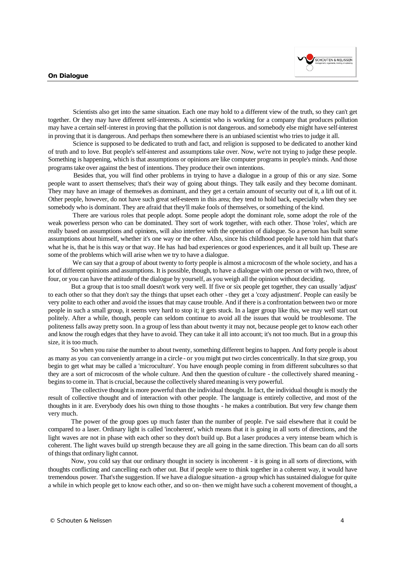

 Scientists also get into the same situation. Each one may hold to a different view of the truth, so they can't get together. Or they may have different self-interests. A scientist who is working for a company that produces pollution may have a certain self-interest in proving that the pollution is not dangerous. and somebody else might have self-interest in proving that it is dangerous. And perhaps then somewhere there is an unbiased scientist who tries to judge it all.

 Science is supposed to be dedicated to truth and fact, and religion is supposed to be dedicated to another kind of truth and to love. But people's self-interest and assumptions take over. Now, we're not trying to judge these people. Something is happening, which is that assumptions or opinions are like computer programs in people's minds. And those programs take over against the best of intentions. They produce their own intentions.

 Besides that, you will find other problems in trying to have a dialogue in a group of this or any size. Some people want to assert themselves; that's their way of going about things. They talk easily and they become dominant. They may have an image of themselves as dominant, and they get a certain amount of security out of it, a lift out of it. Other people, however, do not have such great self-esteem in this area; they tend to hold back, especially when they see somebody who is dominant. They are afraid that they'll make fools of themselves, or something of the kind.

 There are various roles that people adopt. Some people adopt the dominant role, some adopt the role of the weak powerless person who can be dominated. They sort of work together, with each other. Those 'roles', which are really based on assumptions and opinions, will also interfere with the operation of dialogue. So a person has built some assumptions about himself, whether it's one way or the other. Also, since his childhood people have told him that that's what he is, that he is this way or that way. He has had bad experiences or good experiences, and it all built up. These are some of the problems which will arise when we try to have a dialogue.

We can say that a group of about twenty to forty people is almost a microcosm of the whole society, and has a lot of different opinions and assumptions. It is possible, though, to have a dialogue with one person or with two, three, of four, or you can have the attitude of the dialogue by yourself, as you weigh all the opinion without deciding.

But a group that is too small doesn't work very well. If five or six people get together, they can usually 'adjust' to each other so that they don't say the things that upset each other - they get a 'cozy adjustment'. People can easily be very polite to each other and avoid the issues that may cause trouble. And if there is a confrontation between two or more people in such a small group, it seems very hard to stop it; it gets stuck. In a lager group like this, we may well start out politely. After a while, though, people can seldom continue to avoid all the issues that would be troublesome. The politeness falls away pretty soon. In a group of less than about twenty it may not, because people get to know each other and know the rough edges that they have to avoid. They can take it all into account; it's not too much. But in a group this size, it is too much.

So when you raise the number to about twenty, something different begins to happen. And forty people is about as many as you can conveniently arrange in a circle - or you might put two circles concentrically. In that size group, you begin to get what may be called a 'microculture'. You have enough people coming in from different subcultures so that they are a sort of microcosm of the whole culture. And then the question of culture - the collectively shared meaning begins to come in. That is crucial, because the collectively shared meaning is very powerful.

The collective thought is more powerful than the individual thought. In fact, the individual thought is mostly the result of collective thought and of interaction with other people. The language is entirely collective, and most of the thoughts in it are. Everybody does his own thing to those thoughts - he makes a contribution. But very few change them very much.

The power of the group goes up much faster than the number of people. I've said elsewhere that it could be compared to a laser. Ordinary light is called 'incoherent', which means that it is going in all sorts of directions, and the light waves are not in phase with each other so they don't build up. But a laser produces a very intense beam which is coherent. The light waves build up strength because they are all going in the same direction. This beam can do all sorts of things that ordinary light cannot.

Now, you cold say that our ordinary thought in society is incoherent - it is going in all sorts of directions, with thoughts conflicting and cancelling each other out. But if people were to think together in a coherent way, it would have tremendous power. That's the suggestion. If we have a dialogue situation - a group which has sustained dialogue for quite a while in which people get to know each other, and so on - then we might have such a coherent movement of thought, a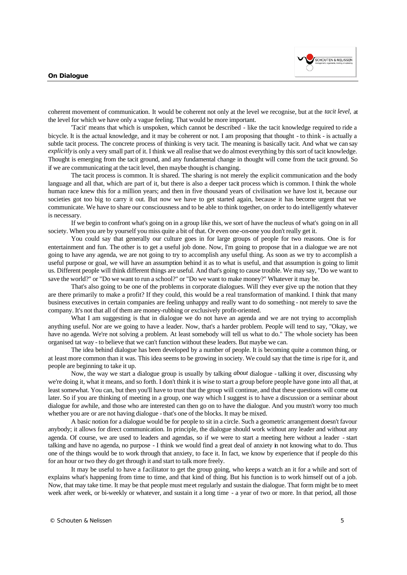

coherent movement of communication. It would be coherent not only at the level we recognise, but at the *tacit level,* at the level for which we have only a vague feeling. That would be more important.

'Tacit' means that which is unspoken, which cannot be described - like the tacit knowledge required to ride a bicycle. It is the actual knowledge, and it may be coherent or not. I am proposing that thought - to think - is actually a subtle tacit process. The concrete process of thinking is very tacit. The meaning is basically tacit. And what we can say *explicitly* is only a very small part of it. I think we all realise that we do almost everything by this sort of tacit knowledge. Thought is emerging from the tacit ground, and any fundamental change in thought will come from the tacit ground. So if we are communicating at the tacit level, then maybe thought is changing.

The tacit process is common. It is shared. The sharing is not merely the explicit communication and the body language and all that, which are part of it, but there is also a deeper tacit process which is common. I think the whole human race knew this for a million years; and then in five thousand years of civilisation we have lost it, because our societies got too big to carry it out. But now we have to get started again, because it has become urgent that we communicate. We have to share our consciousness and to be able to think together, on order to do intelligently whatever is necessary.

If we begin to confront what's going on in a group like this, we sort of have the nucleus of what's going on in all society. When you are by yourself you miss quite a bit of that. Or even one-on-one you don't really get it.

You could say that generally our culture goes in for large groups of people for two reasons. One is for entertainment and fun. The other is to get a useful job done. Now, I'm going to propose that in a dialogue we are not going to have any agenda, we are not going to try to accomplish any useful thing. As soon as we try to accomplish a useful purpose or goal, we will have an assumption behind it as to what is useful, and that assumption is going to limit us. Different people will think different things are useful. And that's going to cause trouble. We may say, "Do we want to save the world?" or "Do we want to run a school?" or "Do we want to make money?" Whatever it may be.

That's also going to be one of the problems in corporate dialogues. Will they ever give up the notion that they are there primarily to make a profit? If they could, this would be a real transformation of mankind. I think that many business executives in certain companies are feeling unhappy and really want to do something - not merely to save the company. It's not that all of them are money-rubbing or exclusively profit-oriented.

What I am suggesting is that in dialogue we do not have an agenda and we are not trying to accomplish anything useful. Nor are we going to have a leader. Now, that's a harder problem. People will tend to say, "Okay, we have no agenda. We're not solving a problem. At least somebody will tell us what to do." The whole society has been organised tat way - to believe that we can't function without these leaders. But maybe we can.

The idea behind dialogue has been developed by a number of people. It is becoming quite a common thing, or at least more common than it was. This idea seems to be growing in society. We could say that the time is ripe for it, and people are beginning to take it up.

Now, the way we start a dialogue group is usually by talking *about* dialogue - talking it over, discussing why we're doing it, what it means, and so forth. I don't think it is wise to start a group before people have gone into all that, at least somewhat. You can, but then you'll have to trust that the group will continue, and that these questions will come out later. So if you are thinking of meeting in a group, one way which I suggest is to have a discussion or a seminar about dialogue for awhile, and those who are interested can then go on to have the dialogue. And you mustn't worry too much whether you are or are not having dialogue - that's one of the blocks. It may be mixed.

A basic notion for a dialogue would be for people to sit in a circle. Such a geometric arrangement doesn't favour anybody; it allows for direct communication. In principle, the dialogue should work without any leader and without any agenda. Of course, we are used to leaders and agendas, so if we were to start a meeting here without a leader - start talking and have no agenda, no purpose - I think we would find a great deal of anxiety in not knowing what to do. Thus one of the things would be to work through that anxiety, to face it. In fact, we know by experience that if people do this for an hour or two they do get through it and start to talk more freely.

It may be useful to have a facilitator to get the group going, who keeps a watch an it for a while and sort of explains what's happening from time to time, and that kind of thing. But his function is to work himself out of a job. Now, that may take time. It may be that people must meet regularly and sustain the dialogue. That form might be to meet week after week, or bi-weekly or whatever, and sustain it a long time - a year of two or more. In that period, all those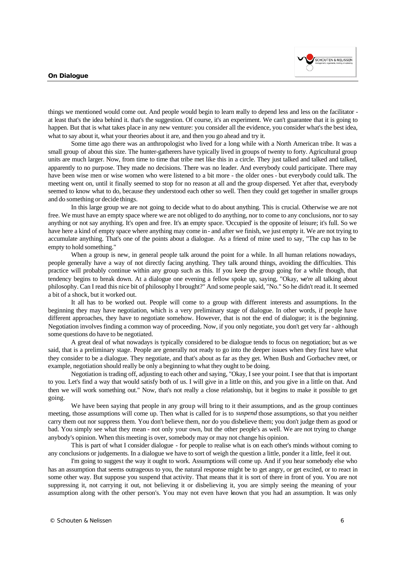

things we mentioned would come out. And people would begin to learn really to depend less and less on the facilitator at least that's the idea behind it. that's the suggestion. Of course, it's an experiment. We can't guarantee that it is going to happen. But that is what takes place in any new venture: you consider all the evidence, you consider what's the best idea, what to say about it, what your theories about it are, and then you go ahead and try it.

Some time ago there was an anthropologist who lived for a long while with a North American tribe. It was a small group of about this size. The hunter-gatherers have typically lived in groups of twenty to forty. Agricultural group units are much larger. Now, from time to time that tribe met like this in a circle. They just talked and talked and talked, apparently to no purpose. They made no decisions. There was no leader. And everybody could participate. There may have been wise men or wise women who were listened to a bit more - the older ones - but everybody could talk. The meeting went on, until it finally seemed to stop for no reason at all and the group dispersed. Yet after that, everybody seemed to know what to do, because they understood each other so well. Then they could get together in smaller groups and do something or decide things.

In this large group we are not going to decide what to do about anything. This is crucial. Otherwise we are not free. We must have an empty space where we are not obliged to do anything, nor to come to any conclusions, nor to say anything or not say anything. It's open and free. It's an empty space. 'Occupied' is the opposite of leisure; it's full. So we have here a kind of empty space where anything may come in - and after we finish, we just empty it. We are not trying to accumulate anything. That's one of the points about a dialogue. As a friend of mine used to say, "The cup has to be empty to hold something."

When a group is new, in general people talk around the point for a while. In all human relations nowadays, people generally have a way of not directly facing anything. They talk around things, avoiding the difficulties. This practice will probably continue within any group such as this. If you keep the group going for a while though, that tendency begins to break down. At a dialogue one evening a fellow spoke up, saying, "Okay, we're all talking about philosophy. Can I read this nice bit of philosophy I brought?" And some people said, "No." So he didn't read it. It seemed a bit of a shock, but it worked out.

It all has to be worked out. People will come to a group with different interests and assumptions. In the beginning they may have negotiation, which is a very preliminary stage of dialogue. In other words, if people have different approaches, they have to negotiate somehow. However, that is not the end of dialogue; it is the beginning. Negotiation involves finding a common way of proceeding. Now, if you only negotiate, you don't get very far - although some questions do have to be negotiated.

A great deal of what nowadays is typically considered to be dialogue tends to focus on negotiation; but as we said, that is a preliminary stage. People are generally not ready to go into the deeper issues when they first have what they consider to be a dialogue. They negotiate, and that's about as far as they get. When Bush and Gorbachev meet, or example, negotiation should really be only a beginning to what they ought to be doing.

Negotiation is trading off, adjusting to each other and saying, "Okay, I see your point. I see that that is important to you. Let's find a way that would satisfy both of us. I will give in a little on this, and you give in a little on that. And then we will work something out." Now, that's not really a close relationship, but it begins to make it possible to get going.

We have been saying that people in any group will bring to it their assumptions, and as the group continues meeting, those assumptions will come up. Then what is called for is to *suspend* those assumptions, so that you neither carry them out nor suppress them. You don't believe them, nor do you disbelieve them; you don't judge them as good or bad. You simply see what they mean - not only your own, but the other people's as well. We are not trying to change anybody's opinion. When this meeting is over, somebody may or may not change his opinion.

This is part of what I consider dialogue - for people to realise what is on each other's minds without coming to any conclusions or judgements. In a dialogue we have to sort of weigh the question a little, ponder it a little, feel it out.

I'm going to suggest the way it ought to work. Assumptions will come up. And if you hear somebody else who has an assumption that seems outrageous to you, the natural response might be to get angry, or get excited, or to react in some other way. But suppose you suspend that activity. That means that it is sort of there in front of you. You are not suppressing it, not carrying it out, not believing it or disbelieving it, you are simply seeing the meaning of your assumption along with the other person's. You may not even have known that you had an assumption. It was only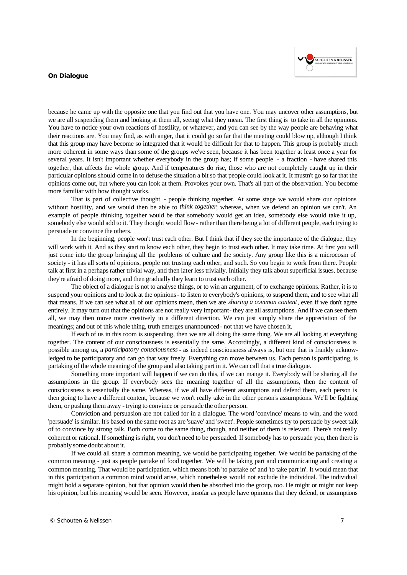

because he came up with the opposite one that you find out that you have one. You may uncover other assumptions, but we are all suspending them and looking at them all, seeing what they mean. The first thing is to take in all the opinions. You have to notice your own reactions of hostility, or whatever, and you can see by the way people are behaving what their reactions are. You may find, as with anger, that it could go so far that the meeting could blow up, although I think that this group may have become so integrated that it would be difficult for that to happen. This group is probably much more coherent in some ways than some of the groups we've seen, because it has been together at least once a year for several years. It isn't important whether everybody in the group has; if some people - a fraction - have shared this together, that affects the whole group. And if temperatures do rise, those who are not completely caught up in their particular opinions should come in to defuse the situation a bit so that people could look at it. It mustn't go so far that the opinions come out, but where you can look at them. Provokes your own. That's all part of the observation. You become more familiar with how thought works.

That is part of collective thought - people thinking together. At some stage we would share our opinions without hostility, and we would then be able to *think together*; whereas, when we defend an opinion we can't. An example of people thinking together would be that somebody would get an idea, somebody else would take it up, somebody else would add to it. They thought would flow - rather than there being a lot of different people, each trying to persuade or convince the others.

In the beginning, people won't trust each other. But I think that if they see the importance of the dialogue, they will work with it. And as they start to know each other, they begin to trust each other. It may take time. At first you will just come into the group bringing all the problems of culture and the society. Any group like this is a microcosm of society - it has all sorts of opinions, people not trusting each other, and such. So you begin to work from there. People talk at first in a perhaps rather trivial way, and then later less trivially. Initially they talk about superficial issues, because they're afraid of doing more, and then gradually they learn to trust each other.

The object of a dialogue is not to analyse things, or to win an argument, of to exchange opinions. Rather, it is to suspend your opinions and to look at the opinions - to listen to everybody's opinions, to suspend them, and to see what all that means. If we can see what all of our opinions mean, then we are *sharing a common content*, even if we don't agree entirely. It may turn out that the opinions are not really very important-they are all assumptions. And if we can see them all, we may then move more creatively in a different direction. We can just simply share the appreciation of the meanings; and out of this whole thing, truth emerges unannounced - not that we have chosen it.

If each of us in this room is suspending, then we are all doing the same thing. We are all looking at everything together. The content of our consciousness is essentially the same. Accordingly, a different kind of consciousness is possible among us, a *participatory consciousness* - as indeed consciousness always is, but one that is frankly acknowledged to be participatory and can go that way freely. Everything can move between us. Each person is participating, is partaking of the whole meaning of the group and also taking part in it. We can call that a true dialogue.

Something more important will happen if we can do this, if we can mange it. Everybody will be sharing all the assumptions in the group. If everybody sees the meaning together of all the assumptions, then the content of consciousness is essentially the same. Whereas, if we all have different assumptions and defend them, each person is then going to have a different content, because we won't really take in the other person's assumptions. We'll be fighting them, or pushing them away - trying to convince or persuade the other person.

Conviction and persuasion are not called for in a dialogue. The word 'convince' means to win, and the word 'persuade' is similar. It's based on the same root as are 'suave' and 'sweet'. People sometimes try to persuade by sweet talk of to convince by strong talk. Both come to the same thing, though, and neither of them is relevant. There's not really coherent or rational. If something is right, you don't need to be persuaded. If somebody has to persuade you, then there is probably some doubt about it.

If we could all share a common meaning, we would be participating together. We would be partaking of the common meaning - just as people partake of food together. We will be taking part and communicating and creating a common meaning. That would be participation, which means both 'to partake of' and 'to take part in'. It would mean that in this participation a common mind would arise, which nonetheless would not exclude the individual. The individual might hold a separate opinion, but that opinion would then be absorbed into the group, too. He might or might not keep his opinion, but his meaning would be seen. However, insofar as people have opinions that they defend, or assumptions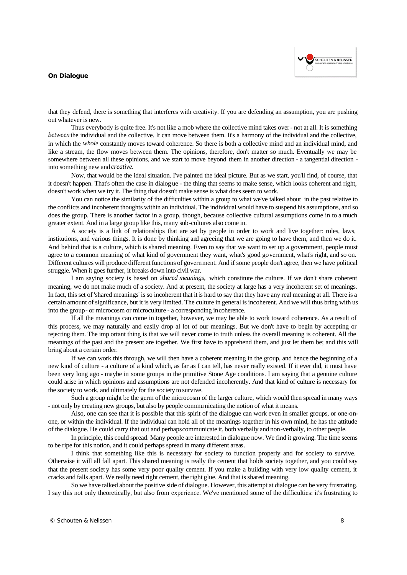

that they defend, there is something that interferes with creativity. If you are defending an assumption, you are pushing out whatever is new.

Thus everybody is quite free. It's not like a mob where the collective mind takes over - not at all. It is something *between* the individual and the collective. It can move between them. It's a harmony of the individual and the collective, in which the *whole* constantly moves toward coherence. So there is both a collective mind and an individual mind, and like a stream, the flow moves between them. The opinions, therefore, don't matter so much. Eventually we may be somewhere between all these opinions, and we start to move beyond them in another direction - a tangential direction into something new and *creative.*

Now, that would be the ideal situation. I've painted the ideal picture. But as we start, you'll find, of course, that it doesn't happen. That's often the case in dialog ue - the thing that seems to make sense, which looks coherent and right, doesn't work when we try it. The thing that doesn't make sense is what does seem to work.

You can notice the similarity of the difficulties within a group to what we've talked about in the past relative to the conflicts and incoherent thoughts within an individual. The individual would have to suspend his assumptions, and so does the group. There is another factor in a group, though, because collective cultural assumptions come in to a much greater extent. And in a large group like this, many sub-cultures also come in.

A society is a link of relationships that are set by people in order to work and live together: rules, laws, institutions, and various things. It is done by thinking and agreeing that we are going to have them, and then we do it. And behind that is a culture, which is shared meaning. Even to say that we want to set up a government, people must agree to a common meaning of what kind of government they want, what's good government, what's right, and so on. Different cultures will produce different functions of government. And if some people don't agree, then we have political struggle. When it goes further, it breaks down into civil war.

I am saying society is based on *shared meanings,* which constitute the culture. If we don't share coherent meaning, we do not make much of a society. And at present, the society at large has a very incoherent set of meanings. In fact, this set of 'shared meanings' is so incoherent that it is hard to say that they have any real meaning at all. There is a certain amount of significance, but it is very limited. The culture in general is incoherent. And we will thus bring with us into the group - or microcosm or microculture - a corresponding incoherence.

If all the meanings can come in together, however, we may be able to work toward coherence. As a result of this process, we may naturally and easily drop al lot of our meanings. But we don't have to begin by accepting or rejecting them. The imp ortant thing is that we will never come to truth unless the overall meaning is coherent. All the meanings of the past and the present are together. We first have to apprehend them, and just let them be; and this will bring about a certain order.

If we can work this through, we will then have a coherent meaning in the group, and hence the beginning of a new kind of culture - a culture of a kind which, as far as I can tell, has never really existed. If it ever did, it must have been very long ago - maybe in some groups in the primitive Stone Age conditions. I am saying that a genuine culture could arise in which opinions and assumptions are not defended incoherently. And that kind of culture is necessary for the society to work, and ultimately for the society to survive.

Such a group might be the germ of the microcosm of the larger culture, which would then spread in many ways - not only by creating new groups, but also by people commu nicating the notion of what it means.

Also, one can see that it is possible that this spirit of the dialogue can work even in smaller groups, or one-onone, or within the individual. If the individual can hold all of the meanings together in his own mind, he has the attitude of the dialogue. He could carry that out and perhaps communicate it, both verbally and non-verbally, to other people.

In principle, this could spread. Many people are interested in dialogue now. We find it growing. The time seems to be ripe for this notion, and it could perhaps spread in many different areas.

I think that something like this is necessary for society to function properly and for society to survive. Otherwise it will all fall apart. This shared meaning is really the cement that holds society together, and you could say that the present societ y has some very poor quality cement. If you make a building with very low quality cement, it cracks and falls apart. We really need right cement, the right glue. And that is shared meaning.

So we have talked about the positive side of dialogue. However, this attempt at dialogue can be very frustrating. I say this not only theoretically, but also from experience. We've mentioned some of the difficulties: it's frustrating to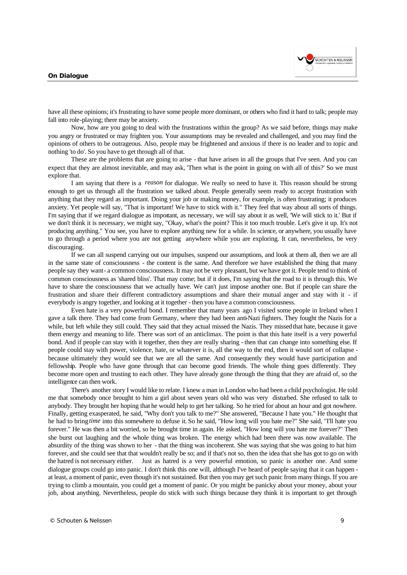

have all these opinions; it's frustrating to have some people more dominant, or others who find it hard to talk; people may fall into role-playing; there may be anxiety.

Now, how are you going to deal with the frustrations within the group? As we said before, things may make you angry or frustrated or may frighten you. Your assumptions may be revealed and challenged, and you may find the opinions of others to be outrageous. Also, people may be frightened and anxious if there is no leader and to topic and nothing 'to do'. So you have to get through all of that.

These are the problems that are going to arise - that have arisen in all the groups that I've seen. And you can expect that they are almost inevitable, and may ask, 'Then what is the point in going on with all of this?' So we must explore that.

I am saying that there is a *reason* for dialogue. We really so need to have it. This reason should be strong enough to get us through all the frustration we talked about. People generally seem ready to accept frustration with anything that they regard as important. Doing your job or making money, for example, is often frustrating; it produces anxiety. Yet people will say, "That is important! We have to stick with it." They feel that way about all sorts of things. I'm saying that if we regard dialogue as important, as necessary, we will say about it as well, 'We will stick to it.' But if we don't think it is necessary, we might say, "Okay, what's the point? This it too much trouble. Let's give it up. It's not producing anything." You see, you have to explore anything new for a while. In science, or anywhere, you usually have to go through a period where you are not getting anywhere while you are exploring. It can, nevertheless, be very discouraging.

If we can all suspend carrying out our impulses, suspend our assumptions, and look at them all, then we are all in the same state of consciousness - the content is the same. And therefore we have established the thing that many people say they want - a common consciousness. It may not be very pleasant, but we have got it. People tend to think of common consciousness as 'shared bliss'. That may come; but if it does, I'm saying that the road to it is through this. We have to share the consciousness that we actually have. We can't just impose another one. But if people can share the frustration and share their different contradictory assumptions and share their mutual anger and stay with it - if everybody is angry together, and looking at it together - then you have a common consciousness.

Even hate is a very powerful bond. I remember that many years ago I visited some people in Ireland when I gave a talk there. They had come from Germany, where they had been anti-Nazi fighters. They fought the Nazis for a while, but left while they still could. They said that they actual missed the Nazis. They missed that hate, because it gave them energy and meaning to life. There was sort of an anticlimax. The point is that this hate itself is a very powerful bond. And if people can stay with it together, then they are really sharing - then that can change into something else. If people could stay with power, violence, hate, or whatever it is, all the way to the end, then it would sort of collapse because ultimately they would see that we are all the same. And consequently they would have participation and fellowship. People who have gone through that can become good friends. The whole thing goes differently. They become more open and trusting to each other. They have already gone through the thing that they are afraid of, so the intelligence can then work.

There's another story I would like to relate. I knew a man in London who had been a child psychologist. He told me that somebody once brought to him a girl about seven years old who was very disturbed. She refused to talk to anybody. They brought her hoping that he would help to get her talking. So he tried for about an hour and got nowhere. Finally, getting exasperated, he said, "Why don't you talk to me?" She answered, "Because I hate you." He thought that he had to bring *time* into this somewhere to defuse it. So he said, "How long will you hate me?" She said, "I'll hate you forever." He was then a bit worried, so he brought time in again. He asked, "How long will you hate me forever?" Then she burst out laughing and the whole thing was broken. The energy which had been there was now available. The absurdity of the thing was shown to her - that the thing was incoherent. She was saying that she was going to hat him forever, and she could see that that wouldn't really be so; and if that's not so, then the idea that she has got to go on with the hatred is not necessary either. Just as hatred is a very powerful emotion, so panic is another one. And some dialogue groups could go into panic. I don't think this one will, although I've heard of people saying that it can happen at least, a moment of panic, even though it's not sustained. But then you may get such panic from many things. If you are trying to climb a mountain, you could get a moment of panic. Or you might be panicky about your money, about your job, about anything. Nevertheless, people do stick with such things because they think it is important to get through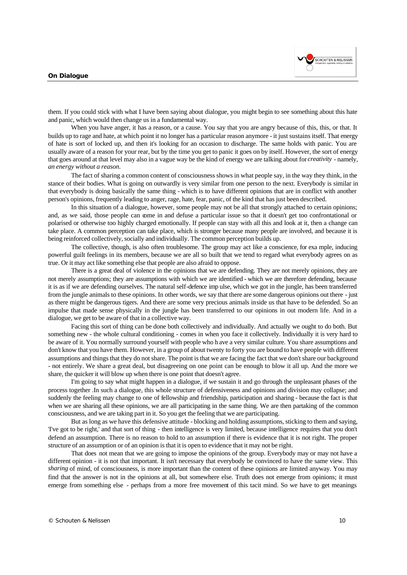

them. If you could stick with what I have been saying about dialogue, you might begin to see something about this hate and panic, which would then change us in a fundamental way.

When you have anger, it has a reason, or a cause. You say that you are angry because of this, this, or that. It builds up to rage and hate, at which point it no longer has a particular reason anymore - it just sustains itself. That energy of hate is sort of locked up, and then it's looking for an occasion to discharge. The same holds with panic. You are usually aware of a reason for your rear, but by the time you get to panic it goes on by itself. However, the sort of energy that goes around at that level may also in a vague way be the kind of energy we are talking about for *creativity* - namely, *an energy without a reason.*

The fact of sharing a common content of consciousness shows in what people say, in the way they think, in the stance of their bodies. What is going on outwardly is very similar from one person to the next. Everybody is similar in that everybody is doing basically the same thing - which is to have different opinions that are in conflict with another person's opinions, frequently leading to anger, rage, hate, fear, panic, of the kind that has just been described.

In this situation of a dialogue, however, some people may not be all that strongly attached to certain opinions; and, as we said, those people can come in and defuse a particular issue so that it doesn't get too confrontational or polarised or otherwise too highly charged emotionally. If people can stay with all this and look at it, then a change can take place. A common perception can take place, which is stronger because many people are involved, and because it is being reinforced collectively, socially and individually. The common perception builds up.

The collective, though, is also often troublesome. The group may act like a conscience, for exa mple, inducing powerful guilt feelings in its members, because we are all so built that we tend to regard what everybody agrees on as true. Or it may act like something else that people are also afraid to oppose.

There is a great deal of violence in the opinions that we are defending. They are not merely opinions, they are not merely assumptions; they are assumptions with which we are identified - which we are therefore defending, because it is as if we are defending ourselves. The natural self-defence imp ulse, which we got in the jungle, has been transferred from the jungle animals to these opinions. In other words, we say that there are some dangerous opinions out there - just as there might be dangerous tigers. And there are some very precious animals inside us that have to be defended. So an impulse that made sense physically in the jungle has been transferred to our opinions in out modern life. And in a dialogue, we get to be aware of that in a collective way.

Facing this sort of thing can be done both collectively and individually. And actually we ought to do both. But something new - the whole cultural conditioning - comes in when you face it collectively. Individually it is very hard to be aware of it. You normally surround yourself with people who h ave a very similar culture. You share assumptions and don't know that you have them. However, in a group of about twenty to forty you are bound to have people with different assumptions and things that they do not share. The point is that we are facing the fact that we don't share our background - not entirely. We share a great deal, but disagreeing on one point can be enough to blow it all up. And the more we share, the quicker it will blow up when there is one point that doesn't agree.

I'm going to say what might happen in a dialogue, if we sustain it and go through the unpleasant phases of the process together .In such a dialogue, this whole structure of defensiveness and opinions and division may collapse; and suddenly the feeling may change to one of fellowship and friendship, participation and sharing - because the fact is that when we are sharing all these opinions, we are all participating in the same thing. We are then partaking of the common consciousness, and we are taking part in it. So you get the feeling that we are participating.

But as long as we have this defensive attitude - blocking and holding assumptions, sticking to them and saying, 'I've got to be right,' and that sort of thing - then intelligence is very limited, because intelligence requires that you don't defend an assumption. There is no reason to hold to an assumption if there is evidence that it is not right. The proper structure of an assumption or of an opinion is that it is open to evidence that it may not be right.

That does not mean that we are going to impose the opinions of the group. Everybody may or may not have a different opinion - it is not that important. It isn't necessary that everybody be convinced to have the same view. This *sharing* of mind, of consciousness, is more important than the content of these opinions are limited anyway. You may find that the answer is not in the opinions at all, but somewhere else. Truth does not emerge from opinions; it must emerge from something else - perhaps from a more free movement of this tacit mind. So we have to get meanings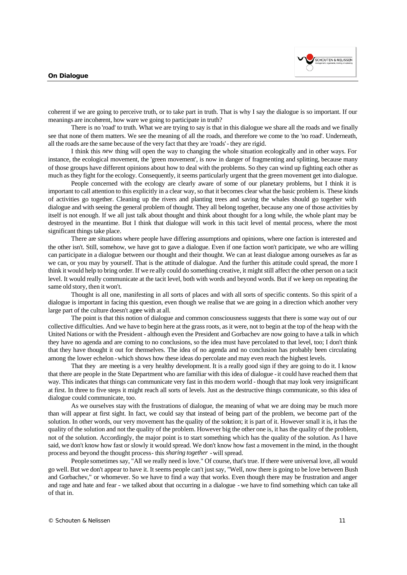

coherent if we are going to perceive truth, or to take part in truth. That is why I say the dialogue is so important. If our meanings are incoherent, how ware we going to participate in truth?

There is no 'road' to truth. What we are trying to say is that in this dialogue we share all the roads and we finally see that none of them matters. We see the meaning of all the roads, and therefore we come to the 'no road'. Underneath, all the roads are the same because of the very fact that they are 'roads' - they are rigid.

I think this *new* thing will open the way to changing the whole situation ecologically and in other ways. For instance, the ecological movement, the 'green movement', is now in danger of fragmenting and splitting, because many of those groups have different opinions about how to deal with the problems. So they can wind up fighting each other as much as they fight for the ecology. Consequently, it seems particularly urgent that the green movement get into dialogue.

People concerned with the ecology are clearly aware of some of our planetary problems, but I think it is important to call attention to this explicitly in a clear way, so that it becomes clear what the basic problem is. These kinds of activities go together. Cleaning up the rivers and planting trees and saving the whales should go together with dialogue and with seeing the general problem of thought. They all belong together, because any one of those activities by itself is not enough. If we all just talk about thought and think about thought for a long while, the whole plant may be destroyed in the meantime. But I think that dialogue will work in this tacit level of mental process, where the most significant things take place.

There are situations where people have differing assumptions and opinions, where one faction is interested and the other isn't. Still, somehow, we have got to gave a dialogue. Even if one faction won't participate, we who are willing can participate in a dialogue between our thought and their thought. We can at least dialogue among ourselves as far as we can, or you may by yourself. That is the attitude of dialogue. And the further this attitude could spread, the more I think it would help to bring order. If we re ally could do something creative, it might still affect the other person on a tacit level. It would really communicate at the tacit level, both with words and beyond words. But if we keep on repeating the same old story, then it won't.

Thought is all one, manifesting in all sorts of places and with all sorts of specific contents. So this spirit of a dialogue is important in facing this question, even though we realise that we are going in a direction which another very large part of the culture doesn't agree with at all.

The point is that this notion of dialogue and common consciousness suggests that there is some way out of our collective difficulties. And we have to begin here at the grass roots, as it were, not to begin at the top of the heap with the United Nations or with the President - although even the President and Gorbachev are now going to have a talk in which they have no agenda and are coming to no conclusions, so the idea must have percolated to that level, too; I don't think that they have thought it out for themselves. The idea of no agenda and no conclusion has probably been circulating among the lower echelon - which shows how these ideas do percolate and may even reach the highest levels.

That they are meeting is a very healthy development. It is a really good sign if they are going to do it. I know that there are people in the State Department who are familiar with this idea of dialogue - it could have reached them that way. This indicates that things can communicate very fast in this mo dern world - though that may look very insignificant at first. In three to five steps it might reach all sorts of levels. Just as the destructive things communicate, so this idea of dialogue could communicate, too.

As we ourselves stay with the frustrations of dialogue, the meaning of what we are doing may be much more than will appear at first sight. In fact, we could say that instead of being part of the problem, we become part of the solution. In other words, our very movement has the quality of the solution; it is part of it. However small it is, it has the quality of the solution and not the quality of the problem. However big the other one is, it has the quality of the problem, not of the solution. Accordingly, the major point is to start something which has the quality of the solution. As I have said, we don't know how fast or slowly it would spread. We don't know how fast a movement in the mind, in the thought process and beyond the thought process - this *sharing together* - will spread.

People sometimes say, "All we really need is love." Of course, that's true. If there were universal love, all would go well. But we don't appear to have it. It seems people can't just say, "Well, now there is going to be love between Bush and Gorbachev," or whomever. So we have to find a way that works. Even though there may be frustration and anger and rage and hate and fear - we talked about that occurring in a dialogue - we have to find something which can take all of that in.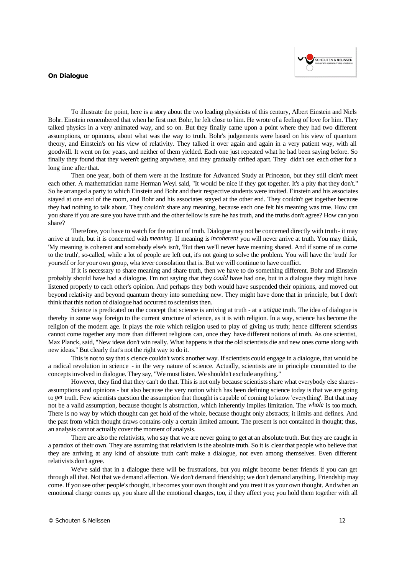

To illustrate the point, here is a story about the two leading physicists of this century, Albert Einstein and Niels Bohr. Einstein remembered that when he first met Bohr, he felt close to him. He wrote of a feeling of love for him. They talked physics in a very animated way, and so on. But they finally came upon a point where they had two different assumptions, or opinions, about what was the way to truth. Bohr's judgements were based on his view of quantum theory, and Einstein's on his view of relativity. They talked it over again and again in a very patient way, with all goodwill. It went on for years, and neither of them yielded. Each one just repeated what he had been saying before. So finally they found that they weren't getting anywhere, and they gradually drifted apart. They didn't see each other for a long time after that.

Then one year, both of them were at the Institute for Advanced Study at Princeton, but they still didn't meet each other. A mathematician name Herman Weyl said, "It would be nice if they got together. It's a pity that they don't." So he arranged a party to which Einstein and Bohr and their respective students were invited. Einstein and his associates stayed at one end of the room, and Bohr and his associates stayed at the other end. They couldn't get together because they had nothing to talk about. They couldn't share any meaning, because each one felt his meaning was true. How can you share if you are sure you have truth and the other fellow is sure he has truth, and the truths don't agree? How can you share?

Therefore, you have to watch for the notion of truth. Dialogue may not be concerned directly with truth - it may arrive at truth, but it is concerned with *meaning.* If meaning is *incoherent* you will never arrive at truth. You may think, 'My meaning is coherent and somebody else's isn't, 'But then we'll never have meaning shared. And if some of us come to the truth', so-called, while a lot of people are left out, it's not going to solve the problem. You will have the 'truth' for yourself or for your own group, wha tever consolation that is. But we will continue to have conflict.

If it is necessary to share meaning and share truth, then we have to do something different. Bohr and Einstein probably should have had a dialogue. I'm not saying that they *could* have had one, but in a dialogue they might have listened properly to each other's opinion. And perhaps they both would have suspended their opinions, and moved out beyond relativity and beyond quantum theory into something new. They might have done that in principle, but I don't think that this notion of dialogue had occurred to scientists then.

Science is predicated on the concept that science is arriving at truth - at a *unique* truth. The idea of dialogue is thereby in some way foreign to the current structure of science, as it is with religion. In a way, science has become the religion of the modern age. It plays the role which religion used to play of giving us truth; hence different scientists cannot come together any more than different religions can, once they have different notions of truth. As one scientist, Max Planck, said, "New ideas don't win really. What happens is that the old scientists die and new ones come along with new ideas." But clearly that's not the right way to do it.

This is not to say that s cience couldn't work another way. If scientists could engage in a dialogue, that would be a radical revolution in science - in the very nature of science. Actually, scientists are in principle committed to the concepts involved in dialogue. They say, "We must listen. We shouldn't exclude anything."

However, they find that they can't do that. This is not only because scientists share what everybody else shares assumptions and opinions - but also because the very notion which has been defining science today is that we are going to *get* truth. Few scientists question the assumption that thought is capable of coming to know 'everything'. But that may not be a valid assumption, because thought is abstraction, which inherently implies limitation. The *whole* is too much. There is no way by which thought can get hold of the whole, because thought only abstracts; it limits and defines. And the past from which thought draws contains only a certain limited amount. The present is not contained in thought; thus, an analysis cannot actually cover the moment of analysis.

There are also the relativists, who say that we are never going to get at an absolute truth. But they are caught in a paradox of their own. They are assuming that relativism is the absolute truth. So it is clear that people who believe that they are arriving at any kind of absolute truth can't make a dialogue, not even among themselves. Even different relativists don't agree.

We've said that in a dialogue there will be frustrations, but you might become be tter friends if you can get through all that. Not that we demand affection. We don't demand friendship; we don't demand anything. Friendship may come. If you see other people's thought, it becomes your own thought and you treat it as your own thought. And when an emotional charge comes up, you share all the emotional charges, too, if they affect you; you hold them together with all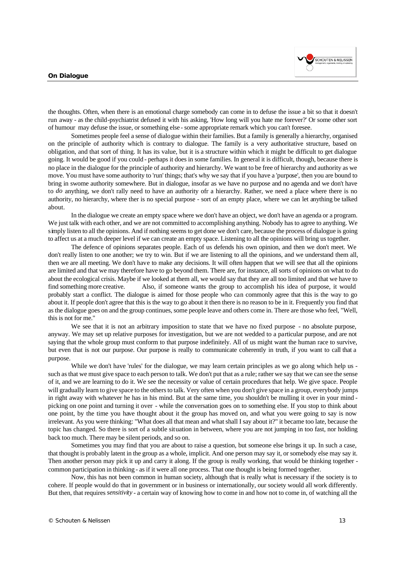

the thoughts. Often, when there is an emotional charge somebody can come in to defuse the issue a bit so that it doesn't run away - as the child-psychiatrist defused it with his asking, 'How long will you hate me forever?' Or some other sort of humour may defuse the issue, or something else - some appropriate remark which you can't foresee.

Sometimes people feel a sense of dialogue within their families. But a family is generally a hierarchy, organised on the principle of authority which is contrary to dialogue. The family is a very authoritative structure, based on obligation, and that sort of thing. It has its value, but it is a structure within which it might be difficult to get dialogue going. It would be good if you could - perhaps it does in some families. In general it is difficult, though, because there is no place in the dialogue for the principle of authority and hierarchy. We want to be free of hierarchy and authority as we move. You must have some authority to 'run' things; that's why we say that if you have a 'purpose', then you are bound to bring in swome authority somewhere. But in dialogue, insofar as we have no purpose and no agenda and we don't have to *do* anything, we don't rally need to have an authority ofr a hierarchy. Rather, we need a place where there is no authority, no hierarchy, where ther is no special purpose - sort of an empty place, where we can let anything be talked about.

In the dialogue we create an empty space where we don't have an object, we don't have an agenda or a program. We just talk with each other, and we are not committed to accomplishing anything. Nobody has to agree to anything. We simply listen to all the opinions. And if nothing seems to get done we don't care, because the process of dialogue is going to affect us at a much deeper level if we can create an empty space. Listening to all the opinions will bring us together.

The defence of opinions separates people. Each of us defends his own opinion, and then we don't meet. We don't really listen to one another; we try to win. But if we are listening to all the opinions, and we understand them all, then we are all meeting. We don't have to make any decisions. It will often happen that we will see that all the opinions are limited and that we may therefore have to go beyond them. There are, for instance, all sorts of opinions on what to do about the ecological crisis. Maybe if we looked at them all, we would say that they are all too limited and that we have to find something more creative. Also, if someone wants the group to accomplish his idea of purpose, it would probably start a conflict. The dialogue is aimed for those people who can commonly agree that this is the way to go about it. If people don't agree that this is the way to go about it then there is no reason to be in it. Frequently you find that as the dialogue goes on and the group continues, some people leave and others come in. There are those who feel, "Well, this is not for me."

We see that it is not an arbitrary imposition to state that we have no fixed purpose - no absolute purpose, anyway. We may set up relative purposes for investigation, but we are not wedded to a particular purpose, and are not saying that the whole group must conform to that purpose indefinitely. All of us might want the human race to survive, but even that is not our purpose. Our purpose is really to communicate coherently in truth, if you want to call that a purpose.

While we don't have 'rules' for the dialogue, we may learn certain principles as we go along which help us such as that we must give space to each person to talk. We don't put that as a rule; rather we say that we can see the sense of it, and we are learning to do it. We see the necessity or value of certain procedures that help. We give space. People will gradually learn to give space to the others to talk. Very often when you don't give space in a group, everybody jumps in right away with whatever he has in his mind. But at the same time, you shouldn't be mulling it over in your mind picking on one point and turning it over - while the conversation goes on to something else. If you stop to think about one point, by the time you have thought about it the group has moved on, and what you were going to say is now irrelevant. As you were thinking: "What does all that mean and what shall I say about it?" it became too late, because the topic has changed. So there is sort of a subtle situation in between, where you are not jumping in too fast, nor holding back too much. There may be silent periods, and so on.

Sometimes you may find that you are about to raise a question, but someone else brings it up. In such a case, that thought is probably latent in the group as a whole, implicit. And one person may say it, or somebody else may say it. Then another person may pick it up and carry it along. If the group is really working, that would be thinking together common participation in thinking - as if it were all one process. That one thought is being formed together.

Now, this has not been common in human society, although that is really what is necessary if the society is to cohere. If people would do that in government or in business or internationally, our society would all work differently. But then, that requires *sensitivity* - a certain way of knowing how to come in and how not to come in, of watching all the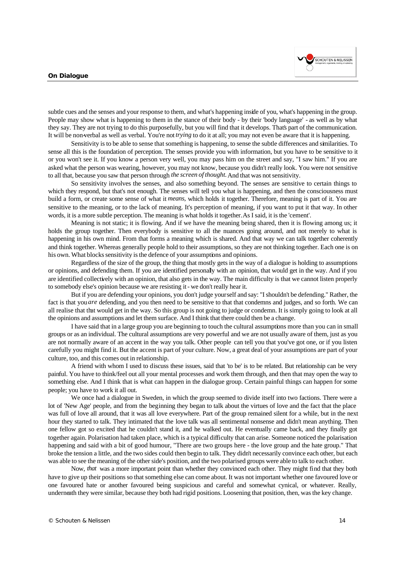

subtle cues and the senses and your response to them, and what's happening inside of you, what's happening in the group. People may show what is happening to them in the stance of their body - by their 'body language' - as well as by what they say. They are not trying to do this purposefully, but you will find that it develops. That's part of the communication. It will be non-verbal as well as verbal. You're not *trying* to do it at all; you may not even be aware that it is happening.

Sensitivity is to be able to sense that something is happening, to sense the subtle differences and similarities. To sense all this is the foundation of perception. The senses provide you with information, but you have to be sensitive to it or you won't see it. If you know a person very well, you may pass him on the street and say, "I saw him." If you are asked what the person was wearing, however, you may not know, because you didn't really look. You were not sensitive to all that, because you saw that person through *the screen of thought.* And that was not sensitivity.

So sensitivity involves the senses, and also something beyond. The senses are sensitive to certain things to which they respond, but that's not enough. The senses will tell you what is happening, and then the consciousness must build a form, or create some sense of what it *means,* which holds it together. Therefore, meaning is part of it. You are sensitive to the meaning, or to the lack of meaning. It's perception of meaning, if you want to put it that way. In other words, it is a more subtle perception. The meaning is what holds it together. As I said, it is the 'cement'.

Meaning is not static; it is flowing. And if we have the meaning being shared, then it is flowing among us; it holds the group together. Then everybody is sensitive to all the nuances going around, and not merely to what is happening in his own mind. From that forms a meaning which is shared. And that way we can talk together coherently and think together. Whereas generally people hold to their assumptions, so they are not thinking together. Each one is on his own. What blocks sensitivity is the defence of your assumptions and opinions.

Regardless of the size of the group, the thing that mostly gets in the way of a dialogue is holding to assumptions or opinions, and defending them. If you are identified personally with an opinion, that would get in the way. And if you are identified collectively with an opinion, that also gets in the way. The main difficulty is that we cannot listen properly to somebody else's opinion because we are resisting it - we don't really hear it.

But if you are defending your opinions, you don't judge yourself and say: "I shouldn't be defending." Rather, the fact is that you *are* defending, and you then need to be sensitive to that that condemns and judges, and so forth. We can all realise that that would get in the way. So this group is not going to judge or condemn. It is simply going to look at all the opinions and assumptions and let them surface. And I think that there could then be a change.

I have said that in a large group you are beginning to touch the cultural assumptions more than you can in small groups or as an individual. The cultural assumptions are very powerful and we are not usually aware of them, just as you are not normally aware of an accent in the way you talk. Other people can tell you that you've got one, or if you listen carefully you might find it. But the accent is part of your culture. Now, a great deal of your assumptions are part of your culture, too, and this comes out in relationship.

A friend with whom I used to discuss these issues, said that 'to be' is to be related. But relationship can be very painful. You have to think/feel out all your mental processes and work them through, and then that may open the way to something else. And I think that is what can happen in the dialogue group. Certain painful things can happen for some people; you have to work it all out.

We once had a dialogue in Sweden, in which the group seemed to divide itself into two factions. There were a lot of 'New Age' people, and from the beginning they began to talk about the virtues of love and the fact that the place was full of love all around, that it was all love everywhere. Part of the group remained silent for a while, but in the next hour they started to talk. They intimated that the love talk was all sentimental nonsense and didn't mean anything. Then one fellow got so excited that he couldn't stand it, and he walked out. He eventually came back, and they finally got together again. Polarisation had taken place, which is a typical difficulty that can arise. Someone noticed the polarisation happening and said with a bit of good humour, "There are two groups here - the love group and the hate group." That broke the tension a little, and the two sides could then begin to talk. They didn't necessarily convince each other, but each was able to see the meaning of the other side's position, and the two polarised groups were able to talk to each other.

Now, *that* was a more important point than whether they convinced each other. They might find that they both have to give up their positions so that something else can come about. It was not important whether one favoured love or one favoured hate or another favoured being suspicious and careful and somewhat cynical, or whatever. Really, underneath they were similar, because they both had rigid positions. Loosening that position, then, was the key change.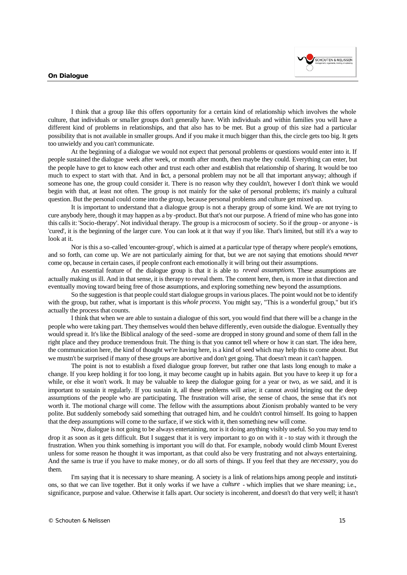

I think that a group like this offers opportunity for a certain kind of relationship which involves the whole culture, that individuals or smaller groups don't generally have. With individuals and within families you will have a different kind of problems in relationships, and that also has to be met. But a group of this size had a particular possibility that is not available in smaller groups. And if you make it much bigger than this, the circle gets too big. It gets too unwieldy and you can't communicate.

At the beginning of a dialogue we would not expect that personal problems or questions would enter into it. If people sustained the dialogue week after week, or month after month, then maybe they could. Everything can enter, but the people have to get to know each other and trust each other and establish that relationship of sharing. It would be too much to expect to start with that. And in fact, a personal problem may not be all that important anyway; although if someone has one, the group could consider it. There is no reason why they couldn't, however I don't think we would begin with that, at least not often. The group is not mainly for the sake of personal problems; it's mainly a cultural question. But the personal could come into the group, because personal problems and culture get mixed up.

It is important to understand that a dialogue group is not a therapy group of some kind. We are not trying to cure anybody here, though it may happen as a by -product. But that's not our purpose. A friend of mine who has gone into this calls it: 'Socio-therapy'. Not individual therapy. The group is a microcosm of society. So if the group - or anyone - is 'cured', it is the beginning of the larger cure. You can look at it that way if you like. That's limited, but still it's a way to look at it.

Nor is this a so-called 'encounter-group', which is aimed at a particular type of therapy where people's emotions, and so forth, can come up. We are not particularly aiming for that, but we are not saying that emotions should *never* come op, because in certain cases, if people confront each emotionally it will bring out their assumptions.

An essential feature of the dialogue group is that it is able to *reveal assumptions*. These assumptions are actually making us ill. And in that sense, it is therapy to reveal them. The content here, then, is more in that direction and eventually moving toward being free of those assumptions, and exploring something new beyond the assumptions.

So the suggestion is that people could start dialogue groups in various places. The point would not be to identify with the group, but rather, what is important is this *whole process*. You might say, "This is a wonderful group," but it's actually the process that counts.

I think that when we are able to sustain a dialogue of this sort, you would find that there will be a change in the people who were taking part. They themselves would then behave differently, even outside the dialogue. Eventually they would spread it. It's like the Biblical analogy of the seed - some are dropped in stony ground and some of them fall in the right place and they produce tremendous fruit. The thing is that you cannot tell where or how it can start. The idea here, the communication here, the kind of thought we're having here, is a kind of seed which may help this to come about. But we mustn't be surprised if many of these groups are abortive and don't get going. That doesn't mean it can't happen.

The point is not to establish a fixed dialogue group forever, but rather one that lasts long enough to make a change. If you keep holding it for too long, it may become caught up in habits again. But you have to keep it up for a while, or else it won't work. It may be valuable to keep the dialogue going for a year or two, as we said, and it is important to sustain it regularly. If you sustain it, all these problems will arise; it cannot avoid bringing out the deep assumptions of the people who are participating. The frustration will arise, the sense of chaos, the sense that it's not worth it. The motional charge will come. The fellow with the assumptions about Zionism probably wanted to be very polite. But suddenly somebody said something that outraged him, and he couldn't control himself. Its going to happen that the deep assumptions will come to the surface, if we stick with it, then something new will come.

Now, dialogue is not going to be always entertaining, nor is it doing anything visibly useful. So you may tend to drop it as soon as it gets difficult. But I suggest that it is very important to go on with it - to stay with it through the frustration. When you think something is important you will do that. For example, nobody would climb Mount Everest unless for some reason he thought it was important, as that could also be very frustrating and not always entertaining. And the same is true if you have to make money, or do all sorts of things. If you feel that they are *necessary*, you do them.

I'm saying that it is necessary to share meaning. A society is a link of relations hips among people and institutions, so that we can live together. But it only works if we have a *culture* - which implies that we share meaning; i.e., significance, purpose and value. Otherwise it falls apart. Our society is incoherent, and doesn't do that very well; it hasn't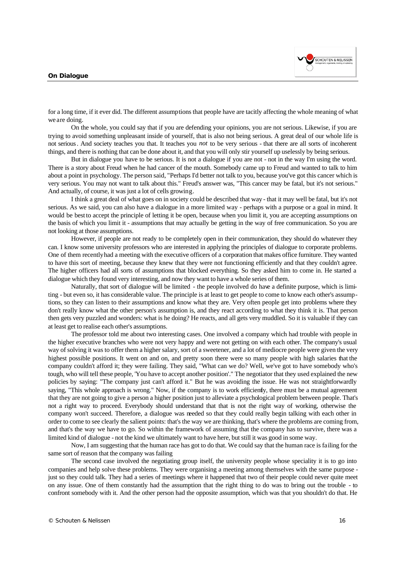

for a long time, if it ever did. The different assumptions that people have are tacitly affecting the whole meaning of what we are doing.

On the whole, you could say that if you are defending your opinions, you are not serious. Likewise, if you are trying to avoid something unpleasant inside of yourself, that is also not being serious. A great deal of our whole life is not serious. And society teaches you that. It teaches you *not* to be very serious - that there are all sorts of incoherent things, and there is nothing that can be done about it, and that you will only stir yourself up uselessly by being serious.

But in dialogue you have to be serious. It is not a dialogue if you are not - not in the way I'm using the word. There is a story about Freud when he had cancer of the mouth. Somebody came up to Freud and wanted to talk to him about a point in psychology. The person said, "Perhaps I'd better not talk to you, because you've got this cancer which is very serious. You may not want to talk about this." Freud's answer was, "This cancer may be fatal, but it's not serious." And actually, of course, it was just a lot of cells growing.

I think a great deal of what goes on in society could be described that way - that it may well be fatal, but it's not serious. As we said, you can also have a dialogue in a more limited way - perhaps with a purpose or a goal in mind. It would be best to accept the principle of letting it be open, because when you limit it, you are accepting assumptions on the basis of which you limit it - assumptions that may actually be getting in the way of free communication. So you are not looking at those assumptions.

However, if people are not ready to be completely open in their communication, they should do whatever they can. I know some university professors who are interested in applying the principles of dialogue to corporate problems. One of them recently had a meeting with the executive officers of a corporation that makes office furniture. They wanted to have this sort of meeting, because they knew that they were not functioning efficiently and that they couldn't agree. The higher officers had all sorts of assumptions that blocked everything. So they asked him to come in. He started a dialogue which they found very interesting, and now they want to have a whole series of them.

Naturally, that sort of dialogue will be limited - the people involved do have a definite purpose, which is limiting - but even so, it has considerable value. The principle is at least to get people to come to know each other's assumptions, so they can listen to their assumptions and know what they are. Very often people get into problems where they don't really know what the other person's assumption is, and they react according to what they think it is. That person then gets very puzzled and wonders: what is he doing? He reacts, and all gets very muddled. So it is valuable if they can at least get to realise each other's assumptions.

The professor told me about two interesting cases. One involved a company which had trouble with people in the higher executive branches who were not very happy and were not getting on with each other. The company's usual way of solving it was to offer them a higher salary, sort of a sweetener, and a lot of mediocre people were given the very highest possible positions. It went on and on, and pretty soon there were so many people with high salaries that the company couldn't afford it; they were failing. They said, "What can we do? Well, we've got to have somebody who's tough, who will tell these people, 'You have to accept another position'." The negotiator that they used explained the new policies by saying: "The company just can't afford it." But he was avoiding the issue. He was not straightforwardly saying, "This whole approach is wrong." Now, if the company is to work efficiently, there must be a mutual agreement that they are not going to give a person a higher position just to alleviate a psychological problem between people. That's not a right way to proceed. Everybody should understand that that is not the right way of working, otherwise the company won't succeed. Therefore, a dialogue was needed so that they could really begin talking with each other in order to come to see clearly the salient points: that's the way we are thinking, that's where the problems are coming from, and that's the way we have to go. So within the framework of assuming that the company has to survive, there was a limited kind of dialogue - not the kind we ultimately want to have here, but still it was good in some way.

Now, I am suggesting that the human race has got to do that. We could say that the human race is failing for the same sort of reason that the company was failing

The second case involved the negotiating group itself, the university people whose speciality it is to go into companies and help solve these problems. They were organising a meeting among themselves with the same purpose just so they could talk. They had a series of meetings where it happened that two of their people could never quite meet on any issue. One of them constantly had the assumption that the right thing to do was to bring out the trouble - to confront somebody with it. And the other person had the opposite assumption, which was that you shouldn't do that. He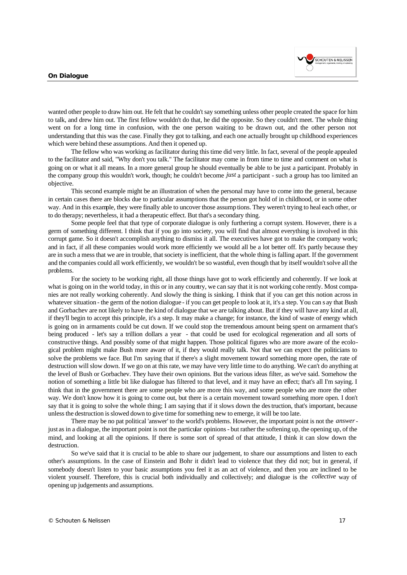

wanted other people to draw him out. He felt that he couldn't say something unless other people created the space for him to talk, and drew him out. The first fellow wouldn't do that, he did the opposite. So they couldn't meet. The whole thing went on for a long time in confusion, with the one person waiting to be drawn out, and the other person not understanding that this was the case. Finally they got to talking, and each one actually brought up childhood experiences which were behind these assumptions. And then it opened up.

The fellow who was working as facilitator during this time did very little. In fact, several of the people appealed to the facilitator and said, "Why don't you talk." The facilitator may come in from time to time and comment on what is going on or what it all means. In a more general group he should eventually be able to be just a participant. Probably in the company group this wouldn't work, though; he couldn't become *just* a participant - such a group has too limited an objective.

This second example might be an illustration of when the personal may have to come into the general, because in certain cases there are blocks due to particular assumptions that the person got hold of in childhood, or in some other way. And in this example, they were finally able to uncover those assump tions. They weren't trying to heal each other, or to do therapy; nevertheless, it had a therapeutic effect. But that's a secondary thing.

Some people feel that that type of corporate dialogue is only furthering a corrupt system. However, there is a germ of something different. I think that if you go into society, you will find that almost everything is involved in this corrupt game. So it doesn't accomplish anything to dismiss it all. The executives have got to make the company work; and in fact, if all these companies would work more efficiently we would all be a lot better off. It's partly because they are in such a mess that we are in trouble, that society is inefficient, that the whole thing is falling apart. If the government and the companies could all work efficiently, we wouldn't be so wasteful, even though that by itself wouldn't solve all the problems.

For the society to be working right, all those things have got to work efficiently and coherently. If we look at what is going on in the world today, in this or in any country, we can say that it is not working cohe rently. Most companies are not really working coherently. And slowly the thing is sinking. I think that if you can get this notion across in whatever situation - the germ of the notion dialogue - if you can get people to look at it, it's a step. You can s ay that Bush and Gorbachev are not likely to have the kind of dialogue that we are talking about. But if they will have any kind at all, if they'll begin to accept this principle, it's a step. It may make a change; for instance, the kind of waste of energy which is going on in armaments could be cut down. If we could stop the tremendous amount being spent on armament that's being produced - let's say a trillion dollars a year - that could be used for ecological regeneration and all sorts of constructive things. And possibly some of that might happen. Those political figures who are more aware of the ecological problem might make Bush more aware of it, if they would really talk. Not that we can expect the politicians to solve the problems we face. But I'm saying that if there's a slight movement toward something more open, the rate of destruction will slow down. If we go on at this rate, we may have very little time to do anything. We can't do anything at the level of Bush or Gorbachev. They have their own opinions. But the various ideas filter, as we've said. Somehow the notion of something a little bit like dialogue has filtered to that level, and it may have an effect; that's all I'm saying. I think that in the government there are some people who are more this way, and some people who are more the other way. We don't know how it is going to come out, but there is a certain movement toward something more open. I don't say that it is going to solve the whole thing; I am saying that if it slows down the destruction, that's important, because unless the destruction is slowed down to give time for something new to emerge, it will be too late.

There may be no pat political 'answer' to the world's problems. However, the important point is not the *answer*just as in a dialogue, the important point is not the particular opinions - but rather the softening up, the opening up, of the mind, and looking at all the opinions. If there is some sort of spread of that attitude, I think it can slow down the destruction.

So we've said that it is crucial to be able to share our judgement, to share our assumptions and listen to each other's assumptions. In the case of Einstein and Bohr it didn't lead to violence that they did not; but in general, if somebody doesn't listen to your basic assumptions you feel it as an act of violence, and then you are inclined to be violent yourself. Therefore, this is crucial both individually and collectively; and dialogue is the *collective* way of opening up judgements and assumptions.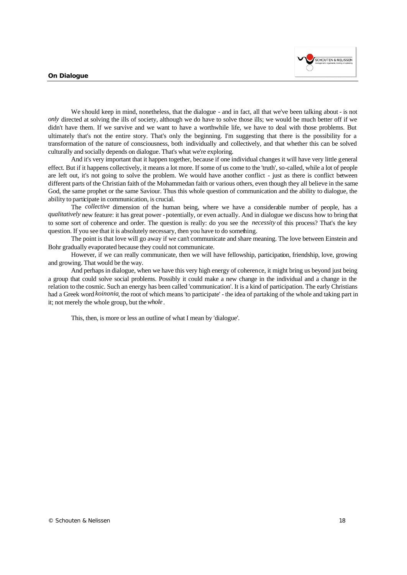

We should keep in mind, nonetheless, that the dialogue - and in fact, all that we've been talking about - is not *only* directed at solving the ills of society, although we do have to solve those ills; we would be much better off if we didn't have them. If we survive and we want to have a worthwhile life, we have to deal with those problems. But ultimately that's not the entire story. That's only the beginning. I'm suggesting that there is the possibility for a transformation of the nature of consciousness, both individually and collectively, and that whether this can be solved culturally and socially depends on dialogue. That's what we're exploring.

 And it's very important that it happen together, because if one individual changes it will have very little general effect. But if it happens collectively, it means a lot more. If some of us come to the 'truth', so-called, while a lot of people are left out, it's not going to solve the problem. We would have another conflict - just as there is conflict between different parts of the Christian faith of the Mohammedan faith or various others, even though they all believe in the same God, the same prophet or the same Saviour. Thus this whole question of communication and the ability to dialogue, the ability to participate in communication, is crucial.

The *collective* dimension of the human being, where we have a considerable number of people, has a *qualitatively* new feature: it has great power - potentially, or even actually. And in dialogue we discuss how to bring that to some sort of coherence and order. The question is really: do you see the *necessity* of this process? That's the key question. If you see that it is absolutely necessary, then you have to do something.

The point is that love will go away if we can't communicate and share meaning. The love between Einstein and Bohr gradually evaporated because they could not communicate.

However, if we can really communicate, then we will have fellowship, participation, friendship, love, growing and growing. That would be the way.

And perhaps in dialogue, when we have this very high energy of coherence, it might bring us beyond just being a group that could solve social problems. Possibly it could make a new change in the individual and a change in the relation to the cosmic. Such an energy has been called 'communication'. It is a kind of participation. The early Christians had a Greek word *koinonia*, the root of which means 'to participate' - the idea of partaking of the whole and taking part in it; not merely the whole group, but the *whole* .

This, then, is more or less an outline of what I mean by 'dialogue'.